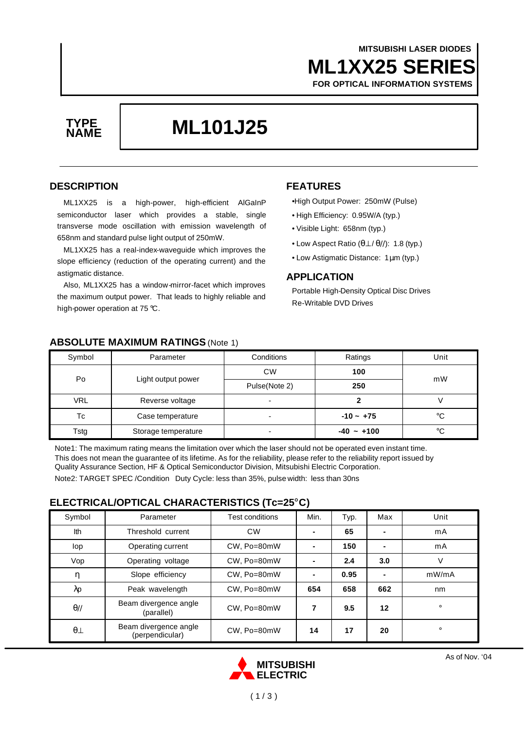## **ML1XX25 SERIES MITSUBISHI LASER DIODES**

**FOR OPTICAL INFORMATION SYSTEMS**



# **ML101J25 TYPE**

#### **DESCRIPTION**

ML1XX25 is a high-power, high-efficient AlGaInP semiconductor laser which provides a stable, single transverse mode oscillation with emission wavelength of 658nm and standard pulse light output of 250mW.

ML1XX25 has a real-index-waveguide which improves the slope efficiency (reduction of the operating current) and the astigmatic distance.

Also, ML1XX25 has a window-mirror-facet which improves the maximum output power. That leads to highly reliable and high-power operation at 75 °C.

### **FEATURES**

•High Output Power: 250mW (Pulse)

- High Efficiency: 0.95W/A (typ.)
- Visible Light: 658nm (typ.)
- Low Aspect Ratio (θ⊥ / θ//): 1.8 (typ.)
- Low Astigmatic Distance: 1μm (typ.)

#### **APPLICATION**

Portable High-Density Optical Disc Drives Re-Writable DVD Drives

| Symbol     | Parameter           | Conditions    | Ratings     | Unit |
|------------|---------------------|---------------|-------------|------|
| Po         | Light output power  | <b>CW</b>     | 100         | mW   |
|            |                     | Pulse(Note 2) | 250         |      |
| <b>VRL</b> | Reverse voltage     | ٠             |             |      |
| Тc         | Case temperature    |               | $-10 - +75$ | °C   |
| Tstg       | Storage temperature |               | $-40 - 100$ | °C   |

#### **ABSOLUTE MAXIMUM RATINGS** (Note 1)

Note1: The maximum rating means the limitation over which the laser should not be operated even instant time. This does not mean the guarantee of its lifetime. As for the reliability, please refer to the reliability report issued by Quality Assurance Section, HF & Optical Semiconductor Division, Mitsubishi Electric Corporation.

Note2: TARGET SPEC /Condition Duty Cycle: less than 35%, pulse width: less than 30ns

#### **ELECTRICAL/OPTICAL CHARACTERISTICS (Tc=25°C)**

| Symbol      | Parameter                                | Test conditions | Min.           | Typ. | Max            | Unit    |
|-------------|------------------------------------------|-----------------|----------------|------|----------------|---------|
| Ith         | Threshold current                        | <b>CW</b>       | $\blacksquare$ | 65   | ۰              | mA      |
| lop         | Operating current                        | CW, Po=80mW     | $\blacksquare$ | 150  | $\blacksquare$ | mA      |
| Vop         | Operating voltage                        | CW, Po=80mW     | $\blacksquare$ | 2.4  | 3.0            | V       |
| η           | Slope efficiency                         | CW, Po=80mW     | $\blacksquare$ | 0.95 | $\blacksquare$ | mW/mA   |
| λp          | Peak wavelength                          | CW, Po=80mW     | 654            | 658  | 662            | nm      |
| $\theta$ // | Beam divergence angle<br>(parallel)      | CW. Po=80mW     | 7              | 9.5  | 12             | $\circ$ |
| $\theta$    | Beam divergence angle<br>(perpendicular) | CW, Po=80mW     | 14             | 17   | 20             | $\circ$ |

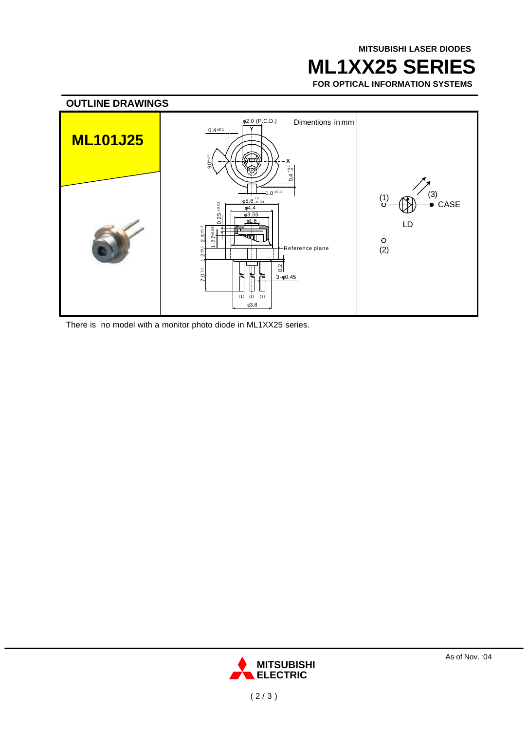## **ML1XX25 SERIES**

**FOR OPTICAL INFORMATION SYSTEMS**



There is no model with a monitor photo diode in ML1XX25 series.